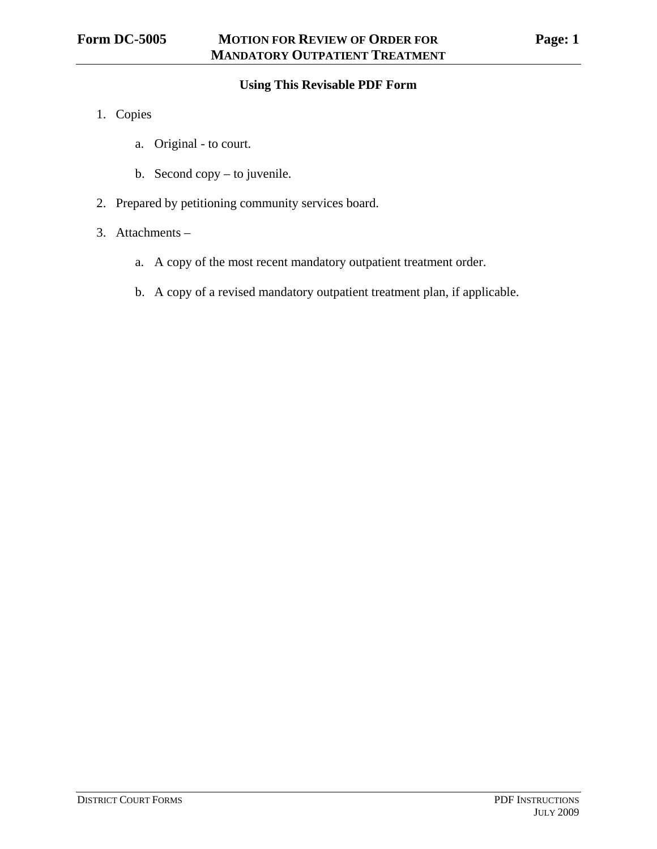### **Using This Revisable PDF Form**

- 1. Copies
	- a. Original to court.
	- b. Second copy to juvenile.
- 2. Prepared by petitioning community services board.
- 3. Attachments
	- a. A copy of the most recent mandatory outpatient treatment order.
	- b. A copy of a revised mandatory outpatient treatment plan, if applicable.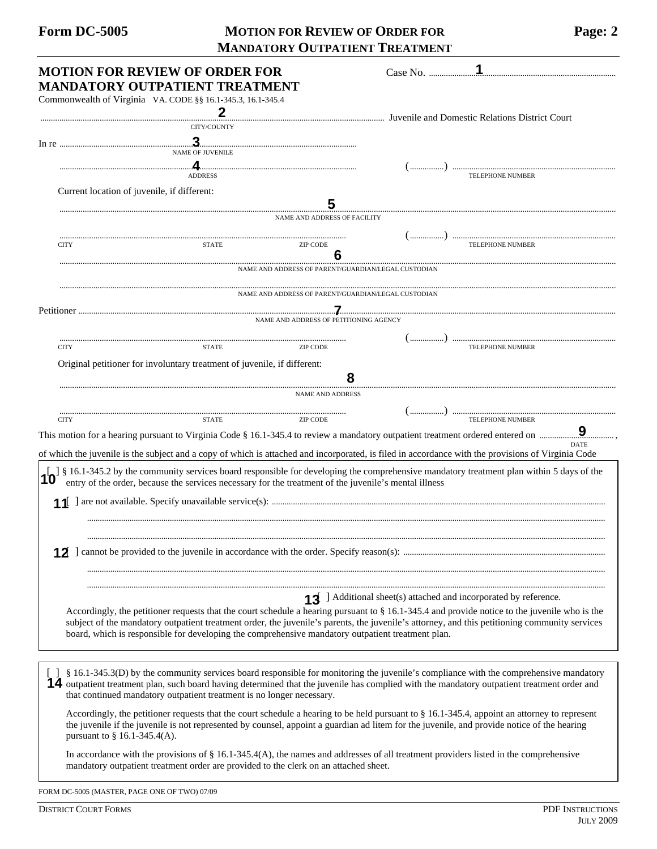# Form DC-5005 MOTION FOR REVIEW OF ORDER FOR Page: 2  **MANDATORY OUTPATIENT TREATMENT**

| <b>MOTION FOR REVIEW OF ORDER FOR</b>                                                                                                       | Case No.                                                                                                                                                                                                                                                                                          |
|---------------------------------------------------------------------------------------------------------------------------------------------|---------------------------------------------------------------------------------------------------------------------------------------------------------------------------------------------------------------------------------------------------------------------------------------------------|
| MANDATORY OUTPATIENT TREATMENT                                                                                                              |                                                                                                                                                                                                                                                                                                   |
| Commonwealth of Virginia VA. CODE §§ 16.1-345.3, 16.1-345.4                                                                                 |                                                                                                                                                                                                                                                                                                   |
|                                                                                                                                             | Juvenile and Domestic Relations District Court                                                                                                                                                                                                                                                    |
| CITY/COUNTY                                                                                                                                 |                                                                                                                                                                                                                                                                                                   |
|                                                                                                                                             |                                                                                                                                                                                                                                                                                                   |
| <b>NAME OF JUVENILE</b>                                                                                                                     |                                                                                                                                                                                                                                                                                                   |
| <b>ADDRESS</b>                                                                                                                              |                                                                                                                                                                                                                                                                                                   |
| Current location of juvenile, if different:                                                                                                 |                                                                                                                                                                                                                                                                                                   |
|                                                                                                                                             | 5                                                                                                                                                                                                                                                                                                 |
| <b>NAME AND ADDRESS OF FACILITY</b>                                                                                                         |                                                                                                                                                                                                                                                                                                   |
|                                                                                                                                             |                                                                                                                                                                                                                                                                                                   |
| <b>CITY</b><br><b>STATE</b><br><b>ZIP CODE</b>                                                                                              |                                                                                                                                                                                                                                                                                                   |
|                                                                                                                                             |                                                                                                                                                                                                                                                                                                   |
|                                                                                                                                             | NAME AND ADDRESS OF PARENT/GUARDIAN/LEGAL CUSTODIAN                                                                                                                                                                                                                                               |
|                                                                                                                                             |                                                                                                                                                                                                                                                                                                   |
|                                                                                                                                             | NAME AND ADDRESS OF PARENT/GUARDIAN/LEGAL CUSTODIAN                                                                                                                                                                                                                                               |
|                                                                                                                                             |                                                                                                                                                                                                                                                                                                   |
| NAME AND ADDRESS OF PETITIONING AGENCY                                                                                                      |                                                                                                                                                                                                                                                                                                   |
|                                                                                                                                             |                                                                                                                                                                                                                                                                                                   |
| <b>CITY</b><br><b>ZIP CODE</b><br><b>STATE</b>                                                                                              | <b>TELEPHONE NUMBER</b>                                                                                                                                                                                                                                                                           |
| Original petitioner for involuntary treatment of juvenile, if different:                                                                    |                                                                                                                                                                                                                                                                                                   |
|                                                                                                                                             |                                                                                                                                                                                                                                                                                                   |
| NAME AND ADDRESS                                                                                                                            |                                                                                                                                                                                                                                                                                                   |
|                                                                                                                                             |                                                                                                                                                                                                                                                                                                   |
| <b>ZIP CODE</b><br><b>STATE</b><br><b>CITY</b>                                                                                              |                                                                                                                                                                                                                                                                                                   |
|                                                                                                                                             | This motion for a hearing pursuant to Virginia Code § 16.1-345.4 to review a mandatory outpatient treatment ordered entered on $\frac{9}{2}$                                                                                                                                                      |
|                                                                                                                                             | of which the juvenile is the subject and a copy of which is attached and incorporated, is filed in accordance with the provisions of Virginia Code                                                                                                                                                |
|                                                                                                                                             |                                                                                                                                                                                                                                                                                                   |
| entry of the order, because the services necessary for the treatment of the juvenile's mental illness                                       | § 16.1-345.2 by the community services board responsible for developing the comprehensive mandatory treatment plan within 5 days of the                                                                                                                                                           |
|                                                                                                                                             |                                                                                                                                                                                                                                                                                                   |
|                                                                                                                                             |                                                                                                                                                                                                                                                                                                   |
|                                                                                                                                             |                                                                                                                                                                                                                                                                                                   |
|                                                                                                                                             |                                                                                                                                                                                                                                                                                                   |
|                                                                                                                                             |                                                                                                                                                                                                                                                                                                   |
|                                                                                                                                             |                                                                                                                                                                                                                                                                                                   |
|                                                                                                                                             |                                                                                                                                                                                                                                                                                                   |
|                                                                                                                                             |                                                                                                                                                                                                                                                                                                   |
|                                                                                                                                             | 13 ] Additional sheet(s) attached and incorporated by reference.                                                                                                                                                                                                                                  |
|                                                                                                                                             | Accordingly, the petitioner requests that the court schedule a hearing pursuant to $\S$ 16.1-345.4 and provide notice to the juvenile who is the<br>subject of the mandatory outpatient treatment order, the juvenile's parents, the juvenile's attorney, and this petitioning community services |
| board, which is responsible for developing the comprehensive mandatory outpatient treatment plan.                                           |                                                                                                                                                                                                                                                                                                   |
|                                                                                                                                             |                                                                                                                                                                                                                                                                                                   |
|                                                                                                                                             |                                                                                                                                                                                                                                                                                                   |
|                                                                                                                                             | [ ] § 16.1-345.3(D) by the community services board responsible for monitoring the juvenile's compliance with the comprehensive mandatory                                                                                                                                                         |
|                                                                                                                                             | 14 outpatient treatment plan, such board having determined that the juvenile has complied with the mandatory outpatient treatment order and                                                                                                                                                       |
| that continued mandatory outpatient treatment is no longer necessary.                                                                       |                                                                                                                                                                                                                                                                                                   |
|                                                                                                                                             | Accordingly, the petitioner requests that the court schedule a hearing to be held pursuant to § 16.1-345.4, appoint an attorney to represent                                                                                                                                                      |
| the juvenile if the juvenile is not represented by counsel, appoint a guardian ad litem for the juvenile, and provide notice of the hearing |                                                                                                                                                                                                                                                                                                   |
| pursuant to $\S$ 16.1-345.4(A).                                                                                                             |                                                                                                                                                                                                                                                                                                   |
| In accordance with the provisions of $\S$ 16.1-345.4(A), the names and addresses of all treatment providers listed in the comprehensive     |                                                                                                                                                                                                                                                                                                   |
| mandatory outpatient treatment order are provided to the clerk on an attached sheet.                                                        |                                                                                                                                                                                                                                                                                                   |
|                                                                                                                                             |                                                                                                                                                                                                                                                                                                   |

FORM DC-5005 (MASTER, PAGE ONE OF TWO) 07/09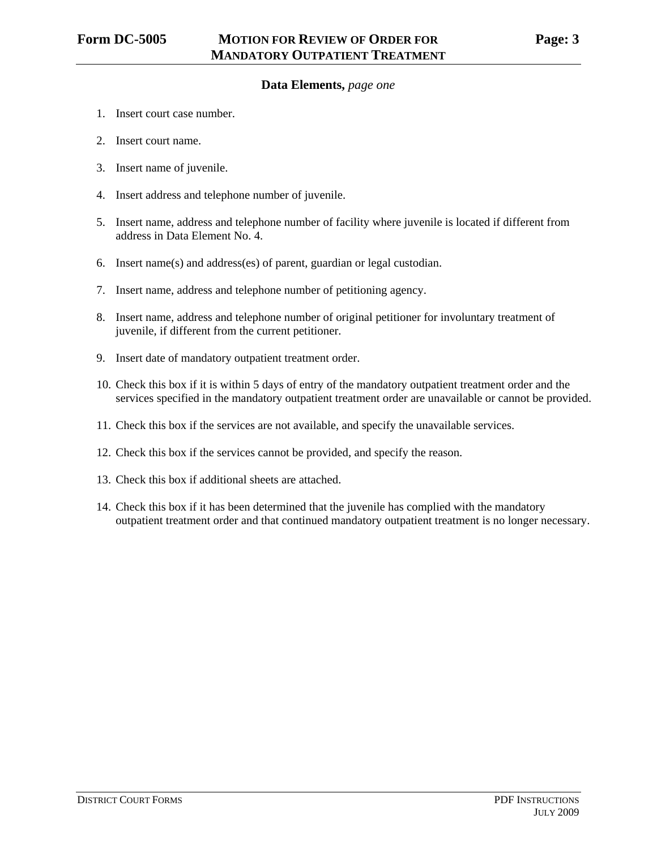### **Data Elements,** *page one*

- 1. Insert court case number.
- 2. Insert court name.
- 3. Insert name of juvenile.
- 4. Insert address and telephone number of juvenile.
- 5. Insert name, address and telephone number of facility where juvenile is located if different from address in Data Element No. 4.
- 6. Insert name(s) and address(es) of parent, guardian or legal custodian.
- 7. Insert name, address and telephone number of petitioning agency.
- 8. Insert name, address and telephone number of original petitioner for involuntary treatment of juvenile, if different from the current petitioner.
- 9. Insert date of mandatory outpatient treatment order.
- 10. Check this box if it is within 5 days of entry of the mandatory outpatient treatment order and the services specified in the mandatory outpatient treatment order are unavailable or cannot be provided.
- 11. Check this box if the services are not available, and specify the unavailable services.
- 12. Check this box if the services cannot be provided, and specify the reason.
- 13. Check this box if additional sheets are attached.
- 14. Check this box if it has been determined that the juvenile has complied with the mandatory outpatient treatment order and that continued mandatory outpatient treatment is no longer necessary.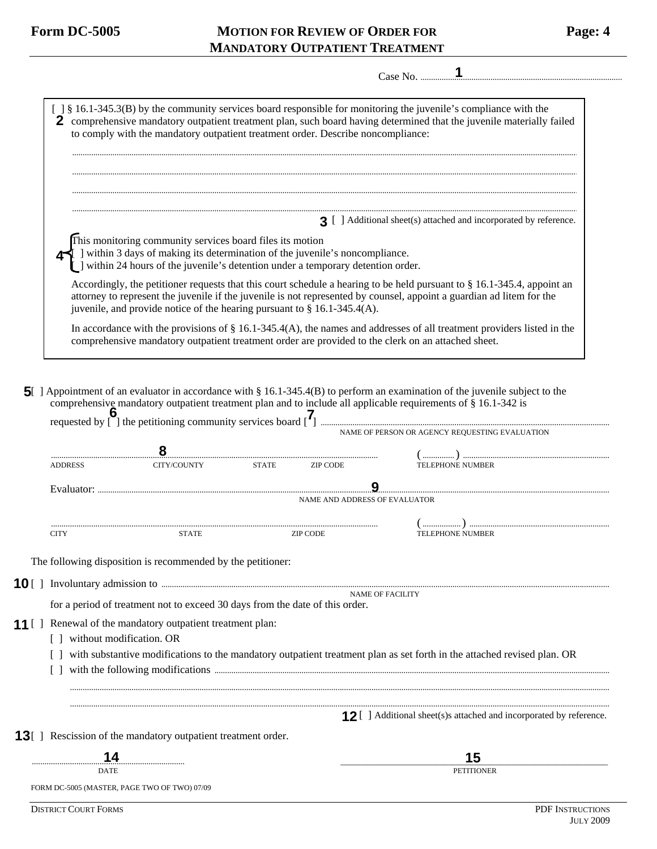**5** 

## Form DC-5005 MOTION FOR REVIEW OF ORDER FOR Page: 4  **MANDATORY OUTPATIENT TREATMENT**

| ∽ |  |
|---|--|
|   |  |

|                              | to comply with the mandatory outpatient treatment order. Describe noncompliance:                                                                                                                                                                     |              |                                      | 2 comprehensive mandatory outpatient treatment plan, such board having determined that the juvenile materially failed                                                                                                                                                                          |
|------------------------------|------------------------------------------------------------------------------------------------------------------------------------------------------------------------------------------------------------------------------------------------------|--------------|--------------------------------------|------------------------------------------------------------------------------------------------------------------------------------------------------------------------------------------------------------------------------------------------------------------------------------------------|
|                              |                                                                                                                                                                                                                                                      |              |                                      |                                                                                                                                                                                                                                                                                                |
|                              |                                                                                                                                                                                                                                                      |              |                                      | 3 [ ] Additional sheet(s) attached and incorporated by reference.                                                                                                                                                                                                                              |
|                              | This monitoring community services board files its motion<br>$\blacktriangleleft$ ] within 3 days of making its determination of the juvenile's noncompliance.<br>  ] within 24 hours of the juvenile's detention under a temporary detention order. |              |                                      |                                                                                                                                                                                                                                                                                                |
|                              |                                                                                                                                                                                                                                                      |              |                                      | Accordingly, the petitioner requests that this court schedule a hearing to be held pursuant to $\S 16.1-345.4$ , appoint an<br>attorney to represent the juvenile if the juvenile is not represented by counsel, appoint a guardian ad litem for the                                           |
|                              | juvenile, and provide notice of the hearing pursuant to $\S$ 16.1-345.4(A).                                                                                                                                                                          |              |                                      |                                                                                                                                                                                                                                                                                                |
|                              |                                                                                                                                                                                                                                                      |              |                                      | In accordance with the provisions of $\S 16.1-345.4(A)$ , the names and addresses of all treatment providers listed in the<br>comprehensive mandatory outpatient treatment order are provided to the clerk on an attached sheet.                                                               |
|                              |                                                                                                                                                                                                                                                      |              |                                      | [ ] Appointment of an evaluator in accordance with § 16.1-345.4(B) to perform an examination of the juvenile subject to the<br>comprehensive mandatory outpatient treatment plan and to include all applicable requirements of § 16.1-342 is<br>NAME OF PERSON OR AGENCY REQUESTING EVALUATION |
|                              |                                                                                                                                                                                                                                                      |              |                                      |                                                                                                                                                                                                                                                                                                |
|                              | CITY/COUNTY                                                                                                                                                                                                                                          | <b>STATE</b> | <b>ZIP CODE</b>                      | <b>TELEPHONE NUMBER</b>                                                                                                                                                                                                                                                                        |
|                              |                                                                                                                                                                                                                                                      |              |                                      |                                                                                                                                                                                                                                                                                                |
| <b>ADDRESS</b><br>Evaluator: |                                                                                                                                                                                                                                                      |              | <b>NAME AND ADDRESS OF EVALUATOR</b> |                                                                                                                                                                                                                                                                                                |

The following disposition is recommended by the petitioner:

10 [] Involuntary admission to manufactured and account of the state of the state of the state of the state of the state of the state of the state of the state of the state of the state of the state of the state of the sta NAME OF FACILITY

for a period of treatment not to exceed 30 days from the date of this order.

- **11** [ ] Renewal of the mandatory outpatient treatment plan:
	- [] without modification. OR
	- [ ] with substantive modifications to the mandatory outpatient treatment plan as set forth in the attached revised plan. OR

 .............................................................................................................................................................................................................................................................. ..............................................................................................................................................................................................................................................................

[ ] with the following modifications ..........................................................................................................................................................................................

**12** [ ] Additional sheet(s)s attached and incorporated by reference.

13<sup>[]</sup> Rescission of the mandatory outpatient treatment order.

FORM DC-5005 (MASTER, PAGE TWO OF TWO) 07/09